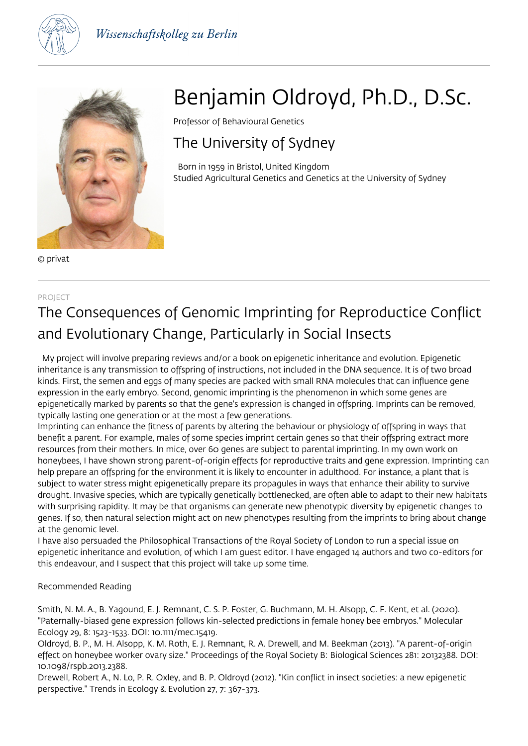



© privat

#### PROJECT

# Benjamin Oldroyd, Ph.D., D.Sc.

Professor of Behavioural Genetics

### The University of Sydney

 Born in 1959 in Bristol, United Kingdom Studied Agricultural Genetics and Genetics at the University of Sydney

## The Consequences of Genomic Imprinting for Reproductice Conflict and Evolutionary Change, Particularly in Social Insects

 My project will involve preparing reviews and/or a book on epigenetic inheritance and evolution. Epigenetic inheritance is any transmission to offspring of instructions, not included in the DNA sequence. It is of two broad kinds. First, the semen and eggs of many species are packed with small RNA molecules that can influence gene expression in the early embryo. Second, genomic imprinting is the phenomenon in which some genes are epigenetically marked by parents so that the gene's expression is changed in offspring. Imprints can be removed, typically lasting one generation or at the most a few generations.

Imprinting can enhance the fitness of parents by altering the behaviour or physiology of offspring in ways that benefit a parent. For example, males of some species imprint certain genes so that their offspring extract more resources from their mothers. In mice, over 60 genes are subject to parental imprinting. In my own work on honeybees, I have shown strong parent-of-origin effects for reproductive traits and gene expression. Imprinting can help prepare an offspring for the environment it is likely to encounter in adulthood. For instance, a plant that is subject to water stress might epigenetically prepare its propagules in ways that enhance their ability to survive drought. Invasive species, which are typically genetically bottlenecked, are often able to adapt to their new habitats with surprising rapidity. It may be that organisms can generate new phenotypic diversity by epigenetic changes to genes. If so, then natural selection might act on new phenotypes resulting from the imprints to bring about change at the genomic level.

I have also persuaded the Philosophical Transactions of the Royal Society of London to run a special issue on epigenetic inheritance and evolution, of which I am guest editor. I have engaged 14 authors and two co-editors for this endeavour, and I suspect that this project will take up some time.

### Recommended Reading

Smith, N. M. A., B. Yagound, E. J. Remnant, C. S. P. Foster, G. Buchmann, M. H. Alsopp, C. F. Kent, et al. (2020). "Paternally-biased gene expression follows kin-selected predictions in female honey bee embryos." Molecular Ecology 29, 8: 1523-1533. DOI: 10.1111/mec.15419.

Oldroyd, B. P., M. H. Alsopp, K. M. Roth, E. J. Remnant, R. A. Drewell, and M. Beekman (2013). "A parent-of-origin effect on honeybee worker ovary size." Proceedings of the Royal Society B: Biological Sciences 281: 20132388. DOI: 10.1098/rspb.2013.2388.

Drewell, Robert A., N. Lo, P. R. Oxley, and B. P. Oldroyd (2012). "Kin conflict in insect societies: a new epigenetic perspective." Trends in Ecology & Evolution 27, 7: 367-373.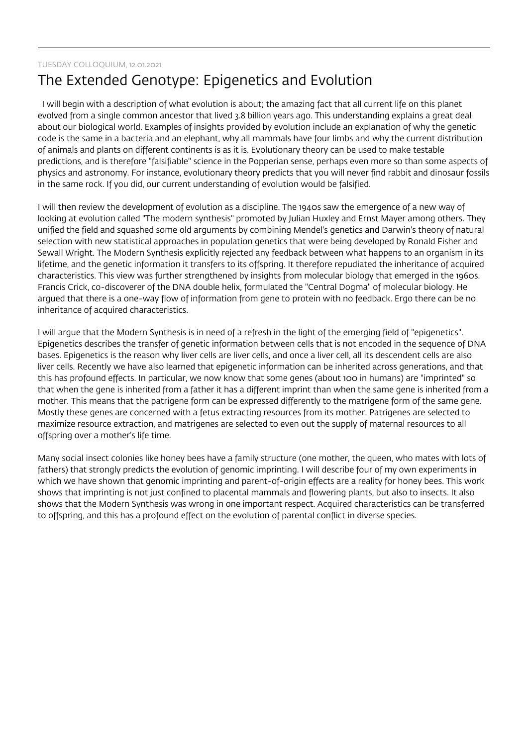### TUESDAY COLLOQUIUM, 12.01.2021

### The Extended Genotype: Epigenetics and Evolution

 I will begin with a description of what evolution is about; the amazing fact that all current life on this planet evolved from a single common ancestor that lived 3.8 billion years ago. This understanding explains a great deal about our biological world. Examples of insights provided by evolution include an explanation of why the genetic code is the same in a bacteria and an elephant, why all mammals have four limbs and why the current distribution of animals and plants on different continents is as it is. Evolutionary theory can be used to make testable predictions, and is therefore "falsifiable" science in the Popperian sense, perhaps even more so than some aspects of physics and astronomy. For instance, evolutionary theory predicts that you will never find rabbit and dinosaur fossils in the same rock. If you did, our current understanding of evolution would be falsified.

I will then review the development of evolution as a discipline. The 1940s saw the emergence of a new way of looking at evolution called "The modern synthesis" promoted by Julian Huxley and Ernst Mayer among others. They unified the field and squashed some old arguments by combining Mendel's genetics and Darwin's theory of natural selection with new statistical approaches in population genetics that were being developed by Ronald Fisher and Sewall Wright. The Modern Synthesis explicitly rejected any feedback between what happens to an organism in its lifetime, and the genetic information it transfers to its offspring. It therefore repudiated the inheritance of acquired characteristics. This view was further strengthened by insights from molecular biology that emerged in the 1960s. Francis Crick, co-discoverer of the DNA double helix, formulated the "Central Dogma" of molecular biology. He argued that there is a one-way flow of information from gene to protein with no feedback. Ergo there can be no inheritance of acquired characteristics.

I will argue that the Modern Synthesis is in need of a refresh in the light of the emerging field of "epigenetics". Epigenetics describes the transfer of genetic information between cells that is not encoded in the sequence of DNA bases. Epigenetics is the reason why liver cells are liver cells, and once a liver cell, all its descendent cells are also liver cells. Recently we have also learned that epigenetic information can be inherited across generations, and that this has profound effects. In particular, we now know that some genes (about 100 in humans) are "imprinted" so that when the gene is inherited from a father it has a different imprint than when the same gene is inherited from a mother. This means that the patrigene form can be expressed differently to the matrigene form of the same gene. Mostly these genes are concerned with a fetus extracting resources from its mother. Patrigenes are selected to maximize resource extraction, and matrigenes are selected to even out the supply of maternal resources to all offspring over a mother's life time.

Many social insect colonies like honey bees have a family structure (one mother, the queen, who mates with lots of fathers) that strongly predicts the evolution of genomic imprinting. I will describe four of my own experiments in which we have shown that genomic imprinting and parent-of-origin effects are a reality for honey bees. This work shows that imprinting is not just confined to placental mammals and flowering plants, but also to insects. It also shows that the Modern Synthesis was wrong in one important respect. Acquired characteristics can be transferred to offspring, and this has a profound effect on the evolution of parental conflict in diverse species.